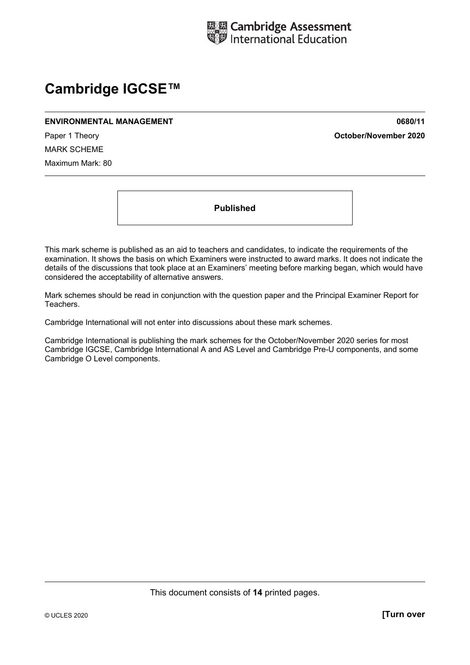

# **Cambridge IGCSE™**

#### **ENVIRONMENTAL MANAGEMENT 0680/11**

Paper 1 Theory **October/November 2020**

MARK SCHEME Maximum Mark: 80

**Published** 

This mark scheme is published as an aid to teachers and candidates, to indicate the requirements of the examination. It shows the basis on which Examiners were instructed to award marks. It does not indicate the details of the discussions that took place at an Examiners' meeting before marking began, which would have considered the acceptability of alternative answers.

Mark schemes should be read in conjunction with the question paper and the Principal Examiner Report for Teachers.

Cambridge International will not enter into discussions about these mark schemes.

Cambridge International is publishing the mark schemes for the October/November 2020 series for most Cambridge IGCSE, Cambridge International A and AS Level and Cambridge Pre-U components, and some Cambridge O Level components.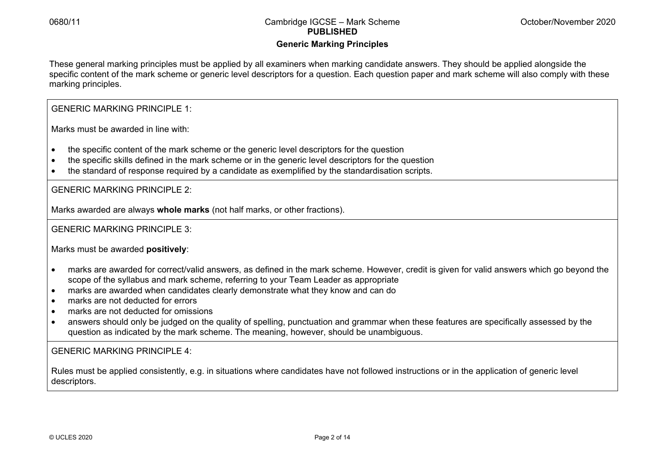## **Generic Marking Principles**

These general marking principles must be applied by all examiners when marking candidate answers. They should be applied alongside the specific content of the mark scheme or generic level descriptors for a question. Each question paper and mark scheme will also comply with these marking principles.

GENERIC MARKING PRINCIPLE 1:

Marks must be awarded in line with:

- the specific content of the mark scheme or the generic level descriptors for the question
- the specific skills defined in the mark scheme or in the generic level descriptors for the question
- the standard of response required by a candidate as exemplified by the standardisation scripts.

GENERIC MARKING PRINCIPLE 2:

Marks awarded are always **whole marks** (not half marks, or other fractions).

GENERIC MARKING PRINCIPLE 3:

Marks must be awarded **positively**:

- marks are awarded for correct/valid answers, as defined in the mark scheme. However, credit is given for valid answers which go beyond the scope of the syllabus and mark scheme, referring to your Team Leader as appropriate
- marks are awarded when candidates clearly demonstrate what they know and can do
- marks are not deducted for errors
- marks are not deducted for omissions
- answers should only be judged on the quality of spelling, punctuation and grammar when these features are specifically assessed by the question as indicated by the mark scheme. The meaning, however, should be unambiguous.

GENERIC MARKING PRINCIPLE 4:

Rules must be applied consistently, e.g. in situations where candidates have not followed instructions or in the application of generic level descriptors.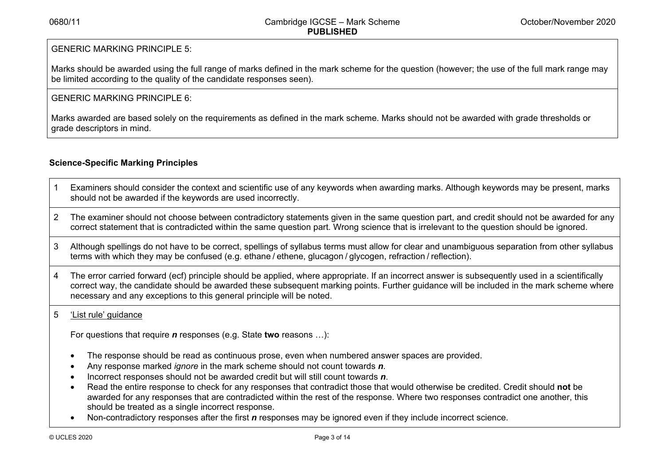## GENERIC MARKING PRINCIPLE 5:

Marks should be awarded using the full range of marks defined in the mark scheme for the question (however; the use of the full mark range may be limited according to the quality of the candidate responses seen).

### GENERIC MARKING PRINCIPLE 6:

Marks awarded are based solely on the requirements as defined in the mark scheme. Marks should not be awarded with grade thresholds or grade descriptors in mind.

## **Science-Specific Marking Principles**

- 1 Examiners should consider the context and scientific use of any keywords when awarding marks. Although keywords may be present, marks should not be awarded if the keywords are used incorrectly.
- 2 The examiner should not choose between contradictory statements given in the same question part, and credit should not be awarded for any correct statement that is contradicted within the same question part. Wrong science that is irrelevant to the question should be ignored.
- 3 Although spellings do not have to be correct, spellings of syllabus terms must allow for clear and unambiguous separation from other syllabus terms with which they may be confused (e.g. ethane / ethene, glucagon / glycogen, refraction / reflection).
- 4 The error carried forward (ecf) principle should be applied, where appropriate. If an incorrect answer is subsequently used in a scientifically correct way, the candidate should be awarded these subsequent marking points. Further guidance will be included in the mark scheme where necessary and any exceptions to this general principle will be noted.

## 5 'List rule' guidance

For questions that require *<sup>n</sup>* responses (e.g. State **two** reasons …):

- The response should be read as continuous prose, even when numbered answer spaces are provided.
- Any response marked *ignore* in the mark scheme should not count towards *n*.
- Incorrect responses should not be awarded credit but will still count towards *n*.
- Read the entire response to check for any responses that contradict those that would otherwise be credited. Credit should **not** be awarded for any responses that are contradicted within the rest of the response. Where two responses contradict one another, this should be treated as a single incorrect response.
- Non-contradictory responses after the first *n* responses may be ignored even if they include incorrect science.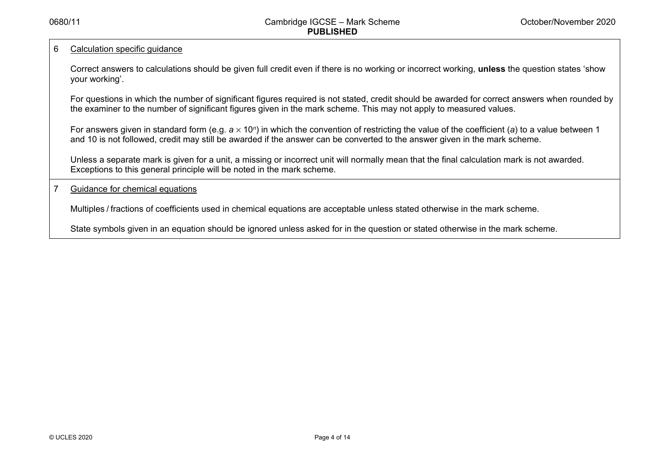#### 6 Calculation specific guidance

Correct answers to calculations should be given full credit even if there is no working or incorrect working, **unless** the question states 'show your working'.

For questions in which the number of significant figures required is not stated, credit should be awarded for correct answers when rounded by the examiner to the number of significant figures given in the mark scheme. This may not apply to measured values.

For answers given in standard form (e.g. a × 10<sup>*n*</sup>) in which the convention of restricting the value of the coefficient (a) to a value between 1 and 10 is not followed, credit may still be awarded if the answer can be converted to the answer given in the mark scheme.

Unless a separate mark is given for a unit, a missing or incorrect unit will normally mean that the final calculation mark is not awarded. Exceptions to this general principle will be noted in the mark scheme.

#### 7 Guidance for chemical equations

Multiples / fractions of coefficients used in chemical equations are acceptable unless stated otherwise in the mark scheme.

State symbols given in an equation should be ignored unless asked for in the question or stated otherwise in the mark scheme.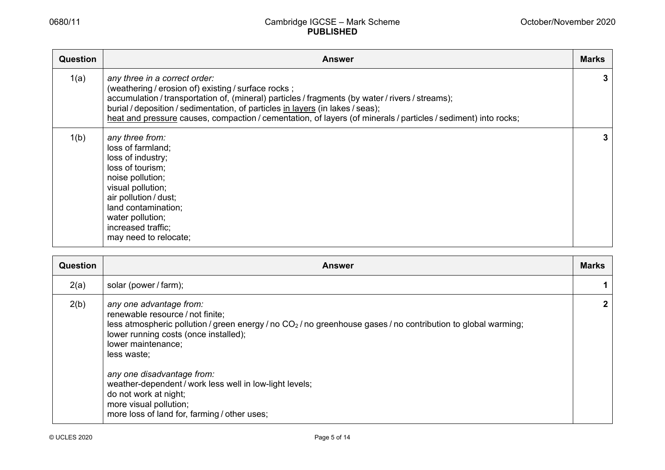| <b>Question</b> | <b>Answer</b>                                                                                                                                                                                                                                                                                                                                                                                | <b>Marks</b> |
|-----------------|----------------------------------------------------------------------------------------------------------------------------------------------------------------------------------------------------------------------------------------------------------------------------------------------------------------------------------------------------------------------------------------------|--------------|
| 1(a)            | any three in a correct order:<br>(weathering / erosion of) existing / surface rocks;<br>accumulation / transportation of, (mineral) particles / fragments (by water / rivers / streams);<br>burial / deposition / sedimentation, of particles in layers (in lakes / seas);<br>heat and pressure causes, compaction / cementation, of layers (of minerals / particles / sediment) into rocks; | 3.           |
| 1(b)            | any three from:<br>loss of farmland;<br>loss of industry;<br>loss of tourism;<br>noise pollution;<br>visual pollution;<br>air pollution / dust;<br>land contamination;<br>water pollution;<br>increased traffic;<br>may need to relocate;                                                                                                                                                    | 3            |

| Question | Answer                                                                                                                                                                                                                                                                                                                                                                                                                                                   | <b>Marks</b> |
|----------|----------------------------------------------------------------------------------------------------------------------------------------------------------------------------------------------------------------------------------------------------------------------------------------------------------------------------------------------------------------------------------------------------------------------------------------------------------|--------------|
| 2(a)     | solar (power / farm);                                                                                                                                                                                                                                                                                                                                                                                                                                    |              |
| 2(b)     | any one advantage from:<br>renewable resource / not finite;<br>less atmospheric pollution / green energy / no $CO2$ / no greenhouse gases / no contribution to global warming;<br>lower running costs (once installed);<br>lower maintenance;<br>less waste;<br>any one disadvantage from:<br>weather-dependent / work less well in low-light levels;<br>do not work at night;<br>more visual pollution;<br>more loss of land for, farming / other uses; |              |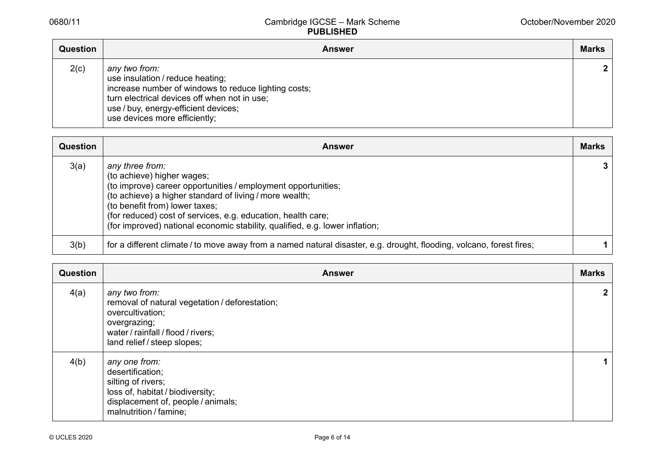| <b>Question</b> | <b>Answer</b>                                                                                                                                                                                                                      | <b>Marks</b> |
|-----------------|------------------------------------------------------------------------------------------------------------------------------------------------------------------------------------------------------------------------------------|--------------|
| 2(c)            | any two from:<br>use insulation / reduce heating;<br>increase number of windows to reduce lighting costs;<br>turn electrical devices off when not in use;<br>use / buy, energy-efficient devices;<br>use devices more efficiently; | $\mathbf{2}$ |

| <b>Question</b> | <b>Answer</b>                                                                                                                                                                                                                                                                                                                                               | <b>Marks</b> |
|-----------------|-------------------------------------------------------------------------------------------------------------------------------------------------------------------------------------------------------------------------------------------------------------------------------------------------------------------------------------------------------------|--------------|
| 3(a)            | any three from:<br>(to achieve) higher wages;<br>(to improve) career opportunities / employment opportunities;<br>(to achieve) a higher standard of living / more wealth;<br>(to benefit from) lower taxes;<br>(for reduced) cost of services, e.g. education, health care;<br>(for improved) national economic stability, qualified, e.g. lower inflation; |              |
| 3(b)            | for a different climate / to move away from a named natural disaster, e.g. drought, flooding, volcano, forest fires;                                                                                                                                                                                                                                        |              |

| <b>Question</b> | <b>Answer</b>                                                                                                                                                            | <b>Marks</b> |
|-----------------|--------------------------------------------------------------------------------------------------------------------------------------------------------------------------|--------------|
| 4(a)            | any two from:<br>removal of natural vegetation / deforestation;<br>overcultivation;<br>overgrazing;<br>water / rainfall / flood / rivers;<br>land relief / steep slopes; |              |
| 4(b)            | any one from:<br>desertification;<br>silting of rivers;<br>loss of, habitat / biodiversity;<br>displacement of, people / animals;<br>malnutrition / famine;              |              |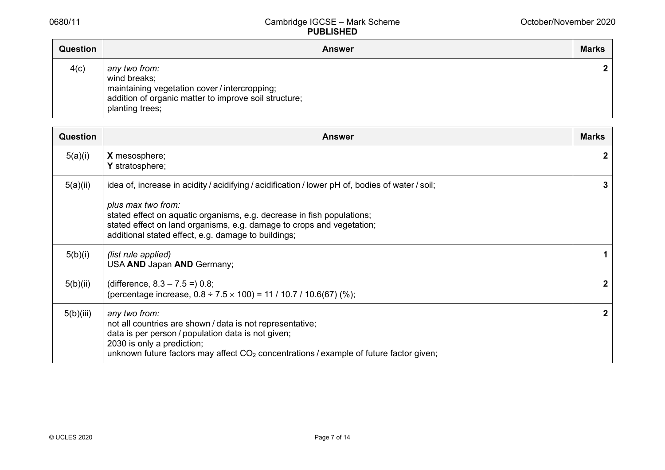| <b>Question</b> | <b>Answer</b>                                                                                                                                              | <b>Marks</b> |
|-----------------|------------------------------------------------------------------------------------------------------------------------------------------------------------|--------------|
| 4(c)            | any two from:<br>wind breaks;<br>maintaining vegetation cover / intercropping;<br>addition of organic matter to improve soil structure;<br>planting trees; | $\mathbf{2}$ |

| <b>Question</b> | <b>Answer</b>                                                                                                                                                                                                                                                                                                                    | <b>Marks</b> |
|-----------------|----------------------------------------------------------------------------------------------------------------------------------------------------------------------------------------------------------------------------------------------------------------------------------------------------------------------------------|--------------|
| 5(a)(i)         | X mesosphere;<br>Y stratosphere;                                                                                                                                                                                                                                                                                                 | $\mathbf{2}$ |
| 5(a)(ii)        | idea of, increase in acidity / acidifying / acidification / lower pH of, bodies of water / soil;<br>plus max two from:<br>stated effect on aquatic organisms, e.g. decrease in fish populations;<br>stated effect on land organisms, e.g. damage to crops and vegetation;<br>additional stated effect, e.g. damage to buildings; | 3            |
| 5(b)(i)         | (list rule applied)<br>USA AND Japan AND Germany;                                                                                                                                                                                                                                                                                |              |
| 5(b)(ii)        | (difference, $8.3 - 7.5 = 0.8$ ;<br>(percentage increase, $0.8 \div 7.5 \times 100$ ) = 11 / 10.7 / 10.6(67) (%);                                                                                                                                                                                                                | $\mathbf{2}$ |
| 5(b)(iii)       | any two from:<br>not all countries are shown / data is not representative;<br>data is per person / population data is not given;<br>2030 is only a prediction;<br>unknown future factors may affect $CO2$ concentrations / example of future factor given;                                                                       | $\mathbf{2}$ |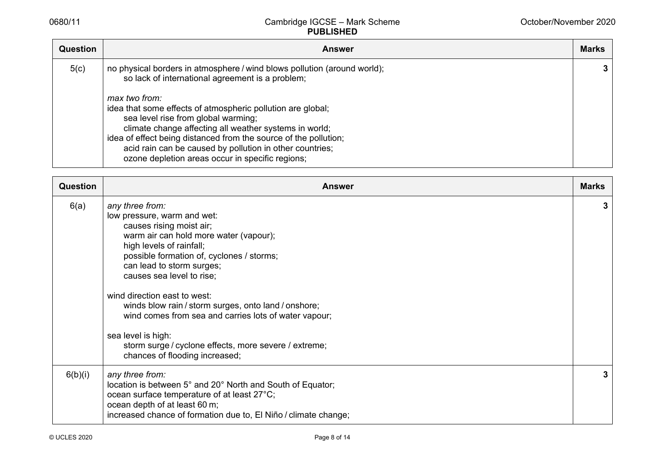| <b>Question</b> | <b>Answer</b>                                                                                                                                                                                                                                                                                                                                    | <b>Marks</b> |
|-----------------|--------------------------------------------------------------------------------------------------------------------------------------------------------------------------------------------------------------------------------------------------------------------------------------------------------------------------------------------------|--------------|
| 5(c)            | no physical borders in atmosphere / wind blows pollution (around world);<br>so lack of international agreement is a problem;<br>max two from:                                                                                                                                                                                                    | 3            |
|                 | idea that some effects of atmospheric pollution are global;<br>sea level rise from global warming;<br>climate change affecting all weather systems in world;<br>idea of effect being distanced from the source of the pollution;<br>acid rain can be caused by pollution in other countries;<br>ozone depletion areas occur in specific regions; |              |

| <b>Question</b> | <b>Answer</b>                                                                                                                                                                                                                                                                                                                                                                                                                                                                                                             | <b>Marks</b> |
|-----------------|---------------------------------------------------------------------------------------------------------------------------------------------------------------------------------------------------------------------------------------------------------------------------------------------------------------------------------------------------------------------------------------------------------------------------------------------------------------------------------------------------------------------------|--------------|
| 6(a)            | any three from:<br>low pressure, warm and wet:<br>causes rising moist air;<br>warm air can hold more water (vapour);<br>high levels of rainfall;<br>possible formation of, cyclones / storms;<br>can lead to storm surges;<br>causes sea level to rise;<br>wind direction east to west:<br>winds blow rain / storm surges, onto land / onshore;<br>wind comes from sea and carries lots of water vapour;<br>sea level is high:<br>storm surge / cyclone effects, more severe / extreme;<br>chances of flooding increased; | 3            |
| 6(b)(i)         | any three from:<br>location is between 5° and 20° North and South of Equator;<br>ocean surface temperature of at least 27°C;<br>ocean depth of at least 60 m;<br>increased chance of formation due to, El Niño / climate change;                                                                                                                                                                                                                                                                                          | 3            |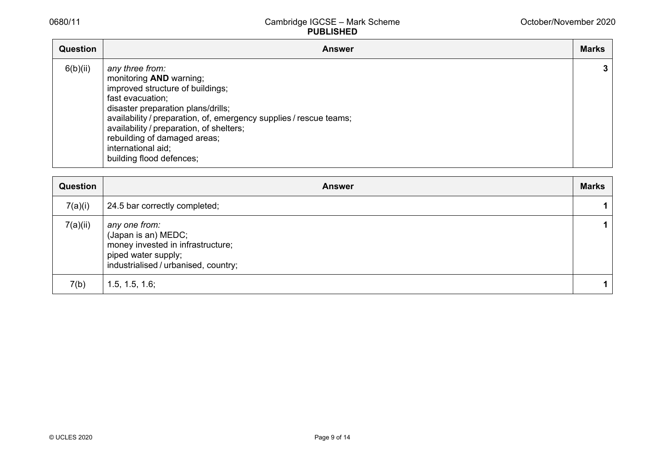| Question | <b>Answer</b>                                                                                                                                                                                                                                                                                                                                | <b>Marks</b> |
|----------|----------------------------------------------------------------------------------------------------------------------------------------------------------------------------------------------------------------------------------------------------------------------------------------------------------------------------------------------|--------------|
| 6(b)(ii) | any three from:<br>monitoring AND warning;<br>improved structure of buildings;<br>fast evacuation;<br>disaster preparation plans/drills;<br>availability / preparation, of, emergency supplies / rescue teams;<br>availability / preparation, of shelters;<br>rebuilding of damaged areas;<br>international aid;<br>building flood defences; | 3            |

| Question | <b>Answer</b>                                                                                                                            | <b>Marks</b> |
|----------|------------------------------------------------------------------------------------------------------------------------------------------|--------------|
| 7(a)(i)  | 24.5 bar correctly completed;                                                                                                            |              |
| 7(a)(ii) | any one from:<br>(Japan is an) MEDC;<br>money invested in infrastructure;<br>piped water supply;<br>industrialised / urbanised, country; |              |
| 7(b)     | 1.5, 1.5, 1.6;                                                                                                                           | 1            |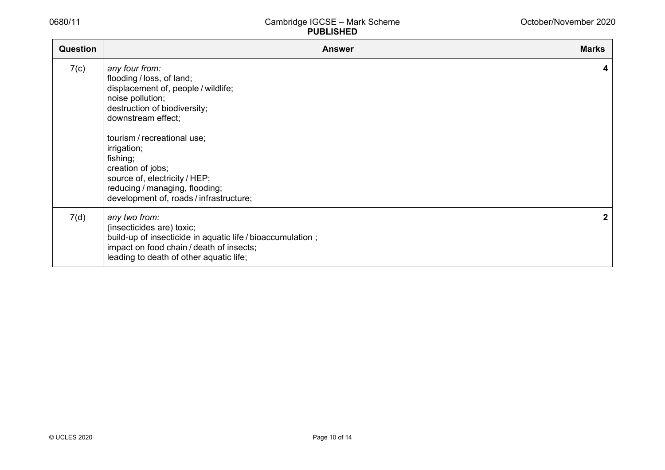| <b>Question</b> | <b>Answer</b>                                                                                                                                                                                                                                                                                                                                             | <b>Marks</b> |
|-----------------|-----------------------------------------------------------------------------------------------------------------------------------------------------------------------------------------------------------------------------------------------------------------------------------------------------------------------------------------------------------|--------------|
| 7(c)            | any four from:<br>flooding / loss, of land;<br>displacement of, people / wildlife;<br>noise pollution;<br>destruction of biodiversity;<br>downstream effect;<br>tourism / recreational use;<br>irrigation;<br>fishing;<br>creation of jobs;<br>source of, electricity / HEP;<br>reducing / managing, flooding;<br>development of, roads / infrastructure; | 4            |
| 7(d)            | any two from:<br>(insecticides are) toxic;<br>build-up of insecticide in aquatic life / bioaccumulation;<br>impact on food chain / death of insects;<br>leading to death of other aquatic life;                                                                                                                                                           | $\mathbf{2}$ |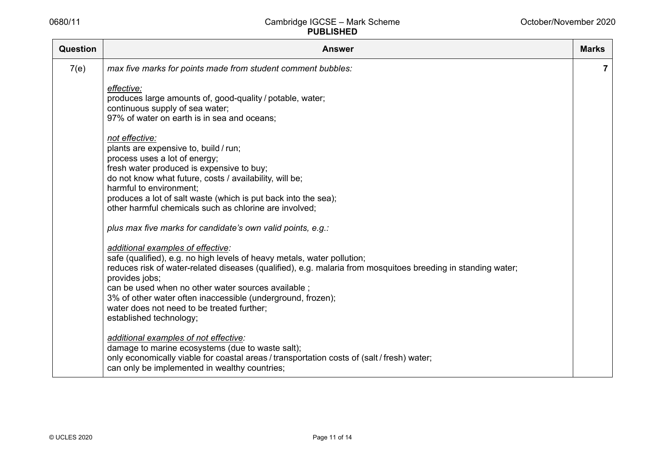| <b>Question</b> | <b>Answer</b>                                                                                                                                                                           | <b>Marks</b>   |
|-----------------|-----------------------------------------------------------------------------------------------------------------------------------------------------------------------------------------|----------------|
| 7(e)            | max five marks for points made from student comment bubbles:                                                                                                                            | $\overline{7}$ |
|                 | effective:                                                                                                                                                                              |                |
|                 | produces large amounts of, good-quality / potable, water;<br>continuous supply of sea water;                                                                                            |                |
|                 | 97% of water on earth is in sea and oceans;                                                                                                                                             |                |
|                 | not effective:                                                                                                                                                                          |                |
|                 | plants are expensive to, build / run;<br>process uses a lot of energy;                                                                                                                  |                |
|                 | fresh water produced is expensive to buy;                                                                                                                                               |                |
|                 | do not know what future, costs / availability, will be;<br>harmful to environment;                                                                                                      |                |
|                 | produces a lot of salt waste (which is put back into the sea);                                                                                                                          |                |
|                 | other harmful chemicals such as chlorine are involved;                                                                                                                                  |                |
|                 | plus max five marks for candidate's own valid points, e.g.:                                                                                                                             |                |
|                 | additional examples of effective:                                                                                                                                                       |                |
|                 | safe (qualified), e.g. no high levels of heavy metals, water pollution;<br>reduces risk of water-related diseases (qualified), e.g. malaria from mosquitoes breeding in standing water; |                |
|                 | provides jobs;                                                                                                                                                                          |                |
|                 | can be used when no other water sources available;                                                                                                                                      |                |
|                 | 3% of other water often inaccessible (underground, frozen);<br>water does not need to be treated further;                                                                               |                |
|                 | established technology;                                                                                                                                                                 |                |
|                 | additional examples of not effective:                                                                                                                                                   |                |
|                 | damage to marine ecosystems (due to waste salt);<br>only economically viable for coastal areas / transportation costs of (salt / fresh) water;                                          |                |
|                 | can only be implemented in wealthy countries;                                                                                                                                           |                |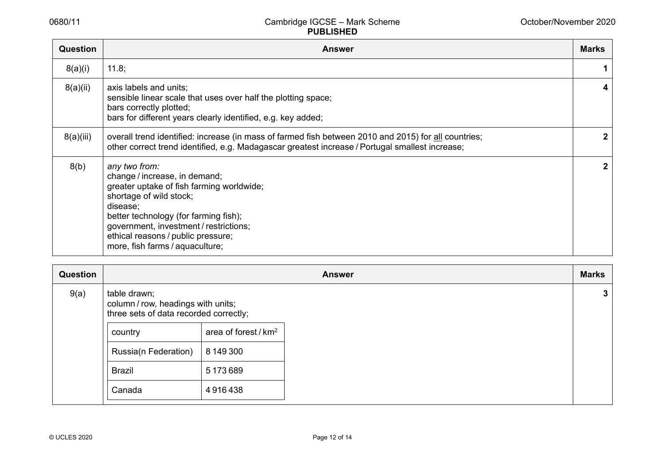| <b>Question</b> | <b>Answer</b>                                                                                                                                                                                                                                                                                  | <b>Marks</b> |
|-----------------|------------------------------------------------------------------------------------------------------------------------------------------------------------------------------------------------------------------------------------------------------------------------------------------------|--------------|
| 8(a)(i)         | 11.8;                                                                                                                                                                                                                                                                                          |              |
| 8(a)(ii)        | axis labels and units;<br>sensible linear scale that uses over half the plotting space;<br>bars correctly plotted;<br>bars for different years clearly identified, e.g. key added;                                                                                                             | 4            |
| 8(a)(iii)       | overall trend identified: increase (in mass of farmed fish between 2010 and 2015) for all countries;<br>other correct trend identified, e.g. Madagascar greatest increase / Portugal smallest increase;                                                                                        | $\mathbf{2}$ |
| 8(b)            | any two from:<br>change / increase, in demand;<br>greater uptake of fish farming worldwide;<br>shortage of wild stock;<br>disease;<br>better technology (for farming fish);<br>government, investment / restrictions;<br>ethical reasons / public pressure;<br>more, fish farms / aquaculture; | $\mathbf{2}$ |

| Question | <b>Answer</b>                                                                                |                                  |  | <b>Marks</b> |
|----------|----------------------------------------------------------------------------------------------|----------------------------------|--|--------------|
| 9(a)     | table drawn;<br>column / row, headings with units;<br>three sets of data recorded correctly; |                                  |  | 3            |
|          | country                                                                                      | area of forest / km <sup>2</sup> |  |              |
|          | Russia(n Federation)                                                                         | 8 149 300                        |  |              |
|          | <b>Brazil</b>                                                                                | 5 173 689                        |  |              |
|          | Canada                                                                                       | 4916438                          |  |              |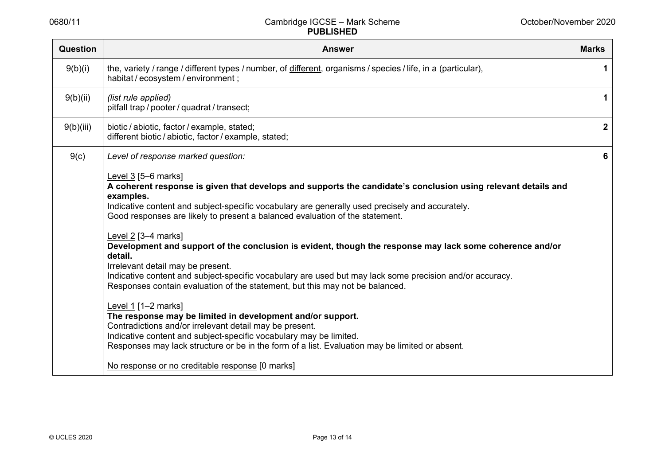| <b>Question</b> | <b>Answer</b>                                                                                                                                                                                                                                                                                                                                                               | <b>Marks</b> |
|-----------------|-----------------------------------------------------------------------------------------------------------------------------------------------------------------------------------------------------------------------------------------------------------------------------------------------------------------------------------------------------------------------------|--------------|
| 9(b)(i)         | the, variety / range / different types / number, of different, organisms / species / life, in a (particular),<br>habitat / ecosystem / environment;                                                                                                                                                                                                                         |              |
| 9(b)(ii)        | (list rule applied)<br>pitfall trap / pooter / quadrat / transect;                                                                                                                                                                                                                                                                                                          |              |
| 9(b)(iii)       | biotic / abiotic, factor / example, stated;<br>different biotic / abiotic, factor / example, stated;                                                                                                                                                                                                                                                                        | $\mathbf{2}$ |
| 9(c)            | Level of response marked question:                                                                                                                                                                                                                                                                                                                                          | 6            |
|                 | Level $3$ [5-6 marks]<br>A coherent response is given that develops and supports the candidate's conclusion using relevant details and<br>examples.<br>Indicative content and subject-specific vocabulary are generally used precisely and accurately.<br>Good responses are likely to present a balanced evaluation of the statement.                                      |              |
|                 | Level 2 [3-4 marks]<br>Development and support of the conclusion is evident, though the response may lack some coherence and/or<br>detail.<br>Irrelevant detail may be present.<br>Indicative content and subject-specific vocabulary are used but may lack some precision and/or accuracy.<br>Responses contain evaluation of the statement, but this may not be balanced. |              |
|                 | Level $1$ [1-2 marks]<br>The response may be limited in development and/or support.<br>Contradictions and/or irrelevant detail may be present.<br>Indicative content and subject-specific vocabulary may be limited.<br>Responses may lack structure or be in the form of a list. Evaluation may be limited or absent.                                                      |              |
|                 | No response or no creditable response [0 marks]                                                                                                                                                                                                                                                                                                                             |              |